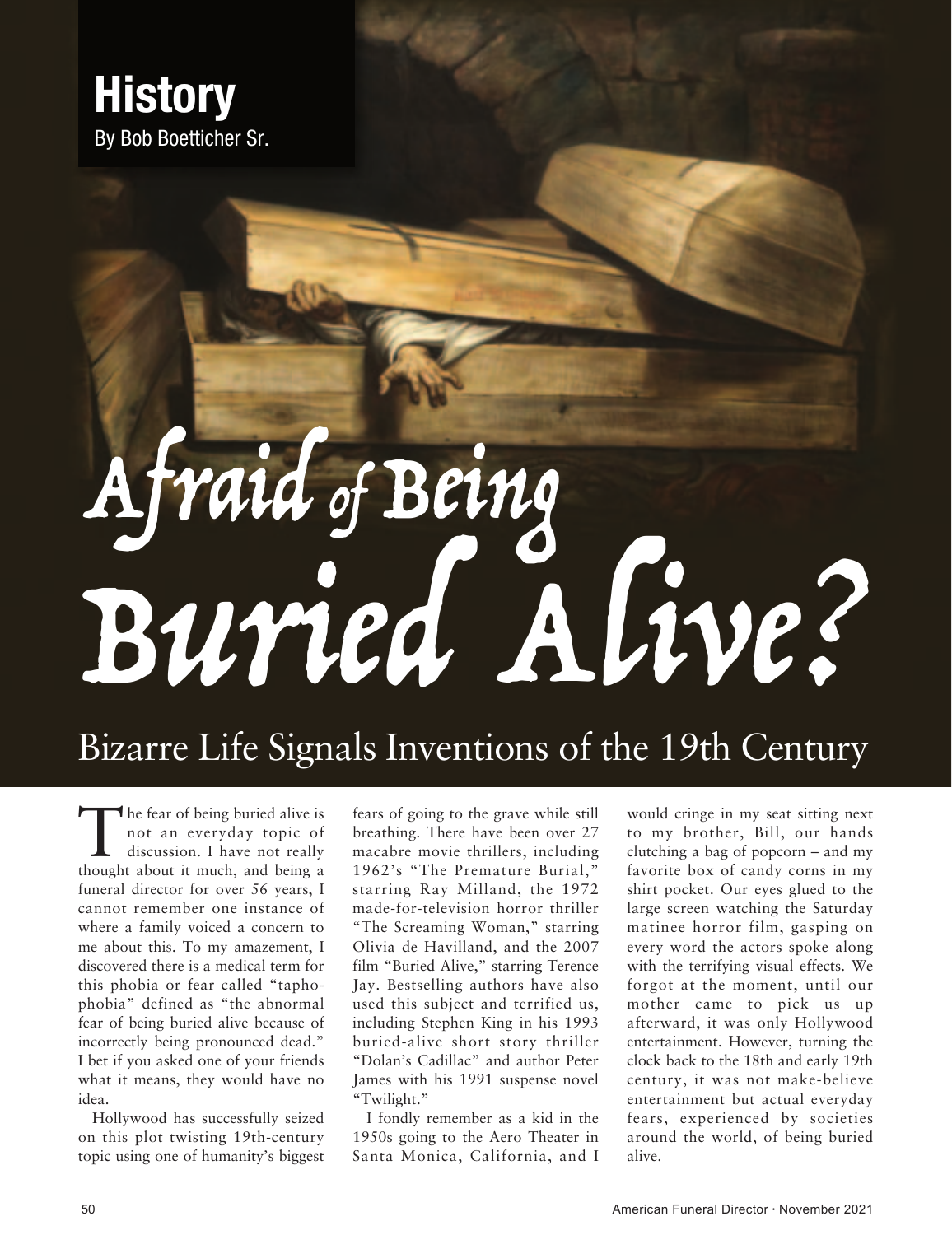

## Afraid of Being Buried Alive?

## Bizarre Life Signals Inventions of the 19th Century

The fear of being buried alive is<br>not an everyday topic of<br>discussion. I have not really<br>thought about it much and being a not an everyday topic of discussion. I have not really thought about it much, and being a funeral director for over 56 years, I cannot remember one instance of where a family voiced a concern to me about this. To my amazement, I discovered there is a medical term for this phobia or fear called "taphophobia" defined as "the abnormal fear of being buried alive because of incorrectly being pronounced dead." I bet if you asked one of your friends what it means, they would have no idea.

Hollywood has successfully seized on this plot twisting 19th-century topic using one of humanity's biggest fears of going to the grave while still breathing. There have been over 27 macabre movie thrillers, including 1962's "The Premature Burial," starring Ray Milland, the 1972 made-for-television horror thriller "The Screaming Woman," starring Olivia de Havilland, and the 2007 film "Buried Alive," starring Terence Jay. Bestselling authors have also used this subject and terrified us, including Stephen King in his 1993 buried-alive short story thriller "Dolan's Cadillac" and author Peter James with his 1991 suspense novel "Twilight."

I fondly remember as a kid in the 1950s going to the Aero Theater in Santa Monica, California, and I

would cringe in my seat sitting next to my brother, Bill, our hands clutching a bag of popcorn – and my favorite box of candy corns in my shirt pocket. Our eyes glued to the large screen watching the Saturday matinee horror film, gasping on every word the actors spoke along with the terrifying visual effects. We forgot at the moment, until our mother came to pick us up afterward, it was only Hollywood entertainment. However, turning the clock back to the 18th and early 19th century, it was not make-believe entertainment but actual everyday fears, experienced by societies around the world, of being buried alive.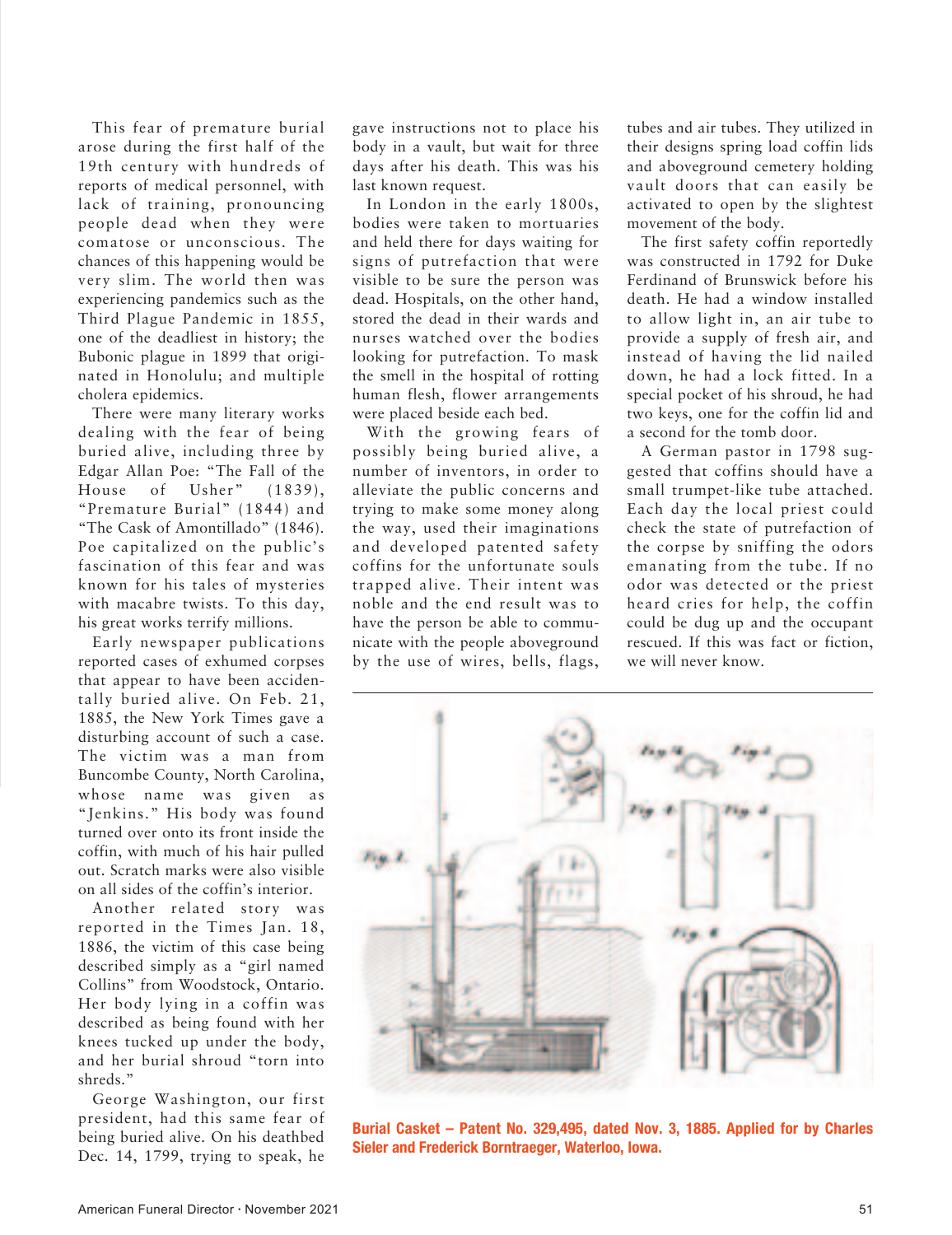This fear of premature burial arose during the first half of the 19th century with hundreds of reports of medical personnel, with lack of training, pronouncing people dead when they were comatose or unconscious. The chances of this happening would be very slim. The world then was experiencing pandemics such as the Third Plague Pandemic in 1855, one of the deadliest in history; the Bubonic plague in 1899 that originated in Honolulu; and multiple cholera epidemics.

There were many literary works dealing with the fear of being buried alive, including three by Edgar Allan Poe: "The Fall of the House of Usher" (1839), "Premature Burial" (1844) and "The Cask of Amontillado" (1846). Poe capitalized on the public's fascination of this fear and was known for his tales of mysteries with macabre twists. To this day, his great works terrify millions.

Early newspaper publications reported cases of exhumed corpses that appear to have been accidentally buried alive. On Feb. 21, 1885, the New York Times gave a disturbing account of such a case. The victim was a man from Buncombe County, North Carolina, whose name was given as "Jenkins." His body was found turned over onto its front inside the coffin, with much of his hair pulled out. Scratch marks were also visible on all sides of the coffin's interior.

Another related story was reported in the Times Jan. 18, 1886, the victim of this case being described simply as a "girl named Collins" from Woodstock, Ontario. Her body lying in a coffin was described as being found with her knees tucked up under the body, and her burial shroud "torn into shreds."

George Washington, our first president, had this same fear of being buried alive. On his deathbed Dec. 14, 1799, trying to speak, he gave instructions not to place his body in a vault, but wait for three days after his death. This was his last known request.

In London in the early 1800s, bodies were taken to mortuaries and held there for days waiting for signs of putrefaction that were visible to be sure the person was dead. Hospitals, on the other hand, stored the dead in their wards and nurses watched over the bodies looking for putrefaction. To mask the smell in the hospital of rotting human flesh, flower arrangements were placed beside each bed.

With the growing fears of possibly being buried alive, a number of inventors, in order to alleviate the public concerns and trying to make some money along the way, used their imaginations and developed patented safety coffins for the unfortunate souls trapped alive. Their intent was noble and the end result was to have the person be able to communicate with the people aboveground by the use of wires, bells, flags, tubes and air tubes. They utilized in their designs spring load coffin lids and aboveground cemetery holding vault doors that can easily be activated to open by the slightest movement of the body.

The first safety coffin reportedly was constructed in 1792 for Duke Ferdinand of Brunswick before his death. He had a window installed to allow light in, an air tube to provide a supply of fresh air, and instead of having the lid nailed down, he had a lock fitted. In a special pocket of his shroud, he had two keys, one for the coffin lid and a second for the tomb door.

A German pastor in 1798 suggested that coffins should have a small trumpet-like tube attached. Each day the local priest could check the state of putrefaction of the corpse by sniffing the odors emanating from the tube. If no odor was detected or the priest heard cries for help, the coffin could be dug up and the occupant rescued. If this was fact or fiction, we will never know.



**Burial Casket – Patent No. 329,495, dated Nov. 3, 1885. Applied for by Charles Sieler and Frederick Borntraeger, Waterloo, Iowa.**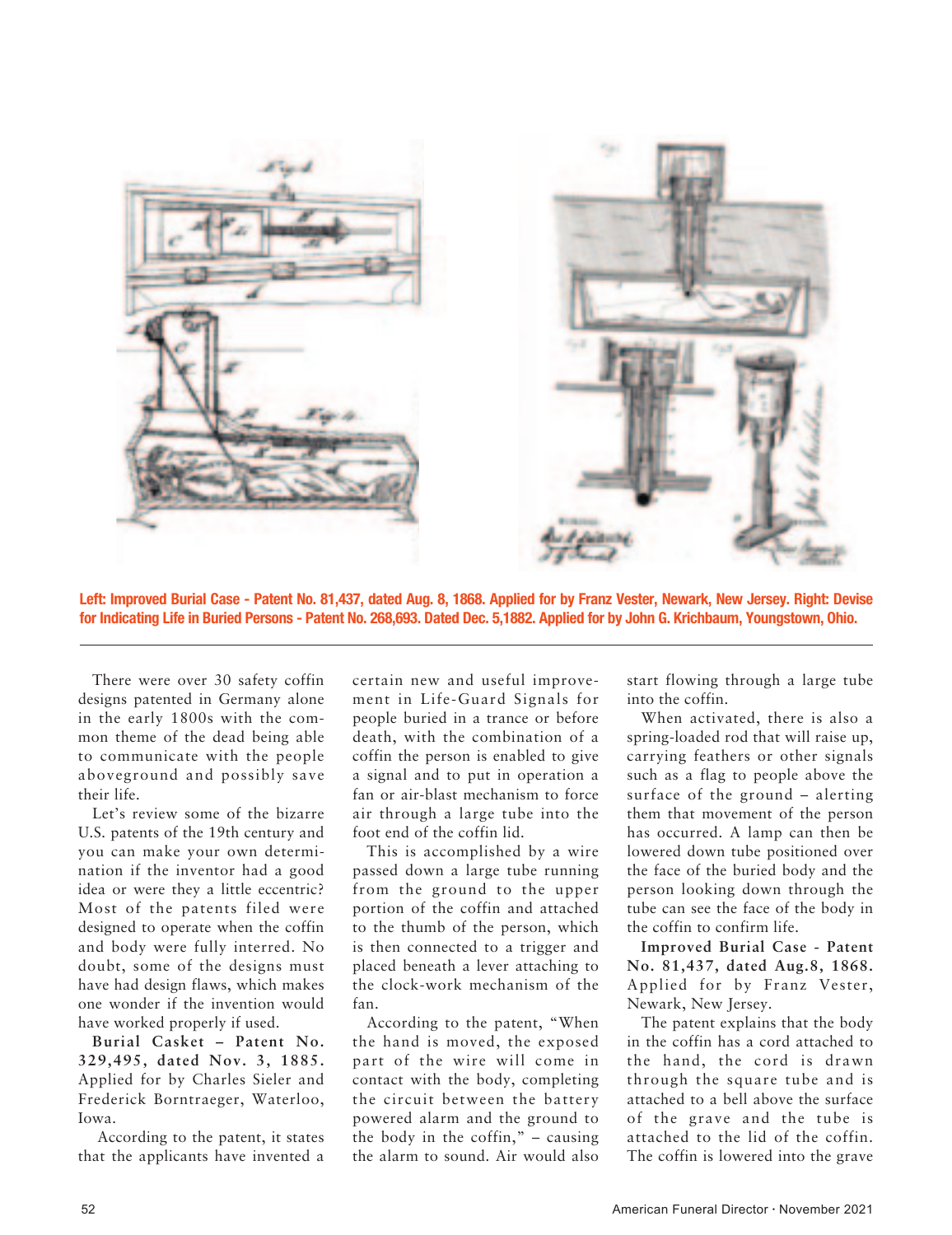

**Left: Improved Burial Case - Patent No. 81,437, dated Aug. 8, 1868. Applied for by Franz Vester, Newark, New Jersey. Right: Devise for Indicating Life in Buried Persons - Patent No. 268,693. Dated Dec. 5,1882. Applied for by John G. Krichbaum, Youngstown, Ohio.**

There were over 30 safety coffin designs patented in Germany alone in the early 1800s with the common theme of the dead being able to communicate with the people aboveground and possibly save their life.

Let's review some of the bizarre U.S. patents of the 19th century and you can make your own determination if the inventor had a good idea or were they a little eccentric? Most of the patents filed were designed to operate when the coffin and body were fully interred. No doubt, some of the designs must have had design flaws, which makes one wonder if the invention would have worked properly if used.

**Burial Casket – Patent No. 329,495, dated Nov. 3, 1885.** Applied for by Charles Sieler and Frederick Borntraeger, Waterloo, Iowa.

 According to the patent, it states that the applicants have invented a

certain new and useful improvement in Life-Guard Signals for people buried in a trance or before death, with the combination of a coffin the person is enabled to give a signal and to put in operation a fan or air-blast mechanism to force air through a large tube into the foot end of the coffin lid.

This is accomplished by a wire passed down a large tube running from the ground to the upper portion of the coffin and attached to the thumb of the person, which is then connected to a trigger and placed beneath a lever attaching to the clock-work mechanism of the fan.

According to the patent, "When the hand is moved, the exposed part of the wire will come in contact with the body, completing the circuit between the battery powered alarm and the ground to the body in the coffin,"  $-$  causing the alarm to sound. Air would also start flowing through a large tube into the coffin.

When activated, there is also a spring-loaded rod that will raise up, carrying feathers or other signals such as a flag to people above the surface of the ground – alerting them that movement of the person has occurred. A lamp can then be lowered down tube positioned over the face of the buried body and the person looking down through the tube can see the face of the body in the coffin to confirm life.

**Improved Burial Case - Patent No. 81,437, dated Aug.8, 1868.** Applied for by Franz Vester, Newark, New Jersey.

The patent explains that the body in the coffin has a cord attached to the hand, the cord is drawn through the square tube and is attached to a bell above the surface of the grave and the tube is attached to the lid of the coffin. The coffin is lowered into the grave